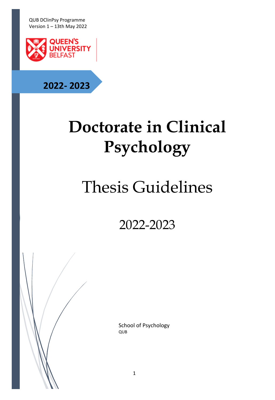

# **2022- 2023**

# **Doctorate in Clinical Psychology**

# Thesis Guidelines

2022-2023

School of Psychology QUB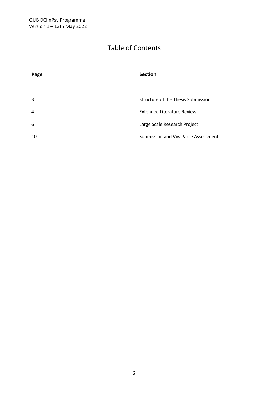## Table of Contents

| Page           | <b>Section</b>                      |
|----------------|-------------------------------------|
|                |                                     |
| 3              | Structure of the Thesis Submission  |
| $\overline{4}$ | <b>Extended Literature Review</b>   |
| 6              | Large Scale Research Project        |
| 10             | Submission and Viva Voce Assessment |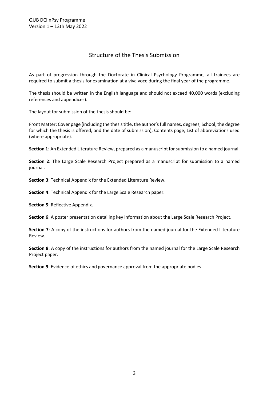#### Structure of the Thesis Submission

As part of progression through the Doctorate in Clinical Psychology Programme, all trainees are required to submit a thesis for examination at a viva voce during the final year of the programme.

The thesis should be written in the English language and should not exceed 40,000 words (excluding references and appendices).

The layout for submission of the thesis should be:

Front Matter: Cover page (including the thesis title, the author's full names, degrees, School, the degree for which the thesis is offered, and the date of submission), Contents page, List of abbreviations used (where appropriate).

**Section 1**: An Extended Literature Review, prepared as a manuscript for submission to a named journal.

**Section 2**: The Large Scale Research Project prepared as a manuscript for submission to a named journal.

**Section 3**: Technical Appendix for the Extended Literature Review.

**Section 4**: Technical Appendix for the Large Scale Research paper.

**Section 5**: Reflective Appendix.

**Section 6**: A poster presentation detailing key information about the Large Scale Research Project.

**Section 7**: A copy of the instructions for authors from the named journal for the Extended Literature Review.

**Section 8**: A copy of the instructions for authors from the named journal for the Large Scale Research Project paper.

**Section 9**: Evidence of ethics and governance approval from the appropriate bodies.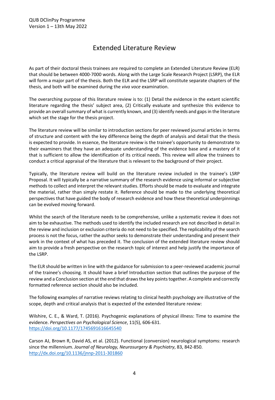### Extended Literature Review

As part of their doctoral thesis trainees are required to complete an Extended Literature Review (ELR) that should be between 4000-7000 words. Along with the Large Scale Research Project (LSRP), the ELR will form a major part of the thesis. Both the ELR and the LSRP will constitute separate chapters of the thesis, and both will be examined during the *viva voce* examination.

The overarching purpose of this literature review is to: (1) Detail the evidence in the extant scientific literature regarding the thesis' subject area, (2) Critically evaluate and synthesize this evidence to provide an overall summary of what is currently known, and (3) identify needs and gaps in the literature which set the stage for the thesis project.

The literature review will be similar to introduction sections for peer reviewed journal articles in terms of structure and content with the key difference being the depth of analysis and detail that the thesis is expected to provide. In essence, the literature review is the trainee's opportunity to demonstrate to their examiners that they have an adequate understanding of the evidence base and a mastery of it that is sufficient to allow the identification of its critical needs. This review will allow the trainees to conduct a critical appraisal of the literature that is relevant to the background of their project.

Typically, the literature review will build on the literature review included in the trainee's LSRP Proposal. It will typically be a narrative summary of the research evidence using informal or subjective methods to collect and interpret the relevant studies. Efforts should be made to evaluate and integrate the material, rather than simply restate it. Reference should be made to the underlying theoretical perspectives that have guided the body of research evidence and how these theoretical underpinnings can be evolved moving forward.

Whilst the search of the literature needs to be comprehensive, unlike a systematic review it does not aim to be exhaustive. The methods used to identify the included research are not described in detail in the review and inclusion or exclusion criteria do not need to be specified. The replicability of the search process is not the focus, rather the author seeks to demonstrate their understanding and present their work in the context of what has preceded it. The conclusion of the extended literature review should aim to provide a fresh perspective on the research topic of interest and help justify the importance of the LSRP.

The ELR should be written in line with the guidance for submission to a peer-reviewed academic journal of the trainee's choosing. It should have a brief Introduction section that outlines the purpose of the review and a Conclusion section at the end that draws the key points together. A complete and correctly formatted reference section should also be included.

The following examples of narrative reviews relating to clinical health psychology are illustrative of the scope, depth and critical analysis that is expected of the extended literature review:

Wilshire, C. E., & Ward, T. (2016). Psychogenic explanations of physical illness: Time to examine the evidence. *Perspectives on Psychological Science*, 11(5), 606-631. https://doi.org/10.1177/1745691616645540

Carson AJ, Brown R, David AS, et al. (2012). Functional (conversion) neurological symptoms: research since the millennium. *Journal of Neurology, Neurosurgery & Psychiatry*, 83, 842-850. http://dx.doi.org/10.1136/jnnp-2011-301860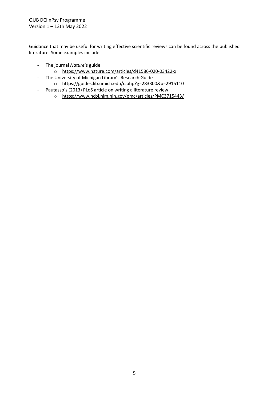Guidance that may be useful for writing effective scientific reviews can be found across the published literature. Some examples include:

- The journal *Nature*'s guide:
	- o https://www.nature.com/articles/d41586-020-03422-x
- The University of Michigan Library's Research Guide o https://guides.lib.umich.edu/c.php?g=283300&p=2915110
- Pautasso's (2013) PLoS article on writing a literature review
	- o https://www.ncbi.nlm.nih.gov/pmc/articles/PMC3715443/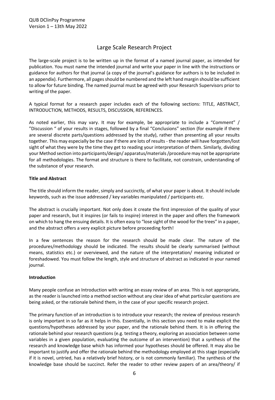### Large Scale Research Project

The large-scale project is to be written up in the format of a named journal paper, as intended for publication. You must name the intended journal and write your paper in line with the instructions or guidance for authors for that journal (a copy of the journal's guidance for authors is to be included in an appendix). Furthermore, all pages should be numbered and the left hand margin should be sufficient to allow for future binding. The named journal must be agreed with your Research Supervisors prior to writing of the paper.

A typical format for a research paper includes each of the following sections: TITLE, ABSTRACT, INTRODUCTION, METHODS, RESULTS, DISCUSSION, REFERENCES.

As noted earlier, this may vary. It may for example, be appropriate to include a "Comment" / "Discussion " of your results in stages, followed by a final "Conclusions" section (for example if there are several discrete parts/questions addressed by the study), rather than presenting all your results together. This may especially be the case if there are lots of results - the reader will have forgotten/lost sight of what they were by the time they get to reading your interpretation of them. Similarly, dividing your Method section into participants/design/ apparatus/materials /procedure may not be appropriate for all methodologies. The format and structure is there to facilitate, not constrain, understanding of the substance of your research.

#### **Title and Abstract**

The title should inform the reader, simply and succinctly, of what your paper is about. It should include keywords, such as the issue addressed / key variables manipulated / participants etc.

The abstract is crucially important. Not only does it create the first impression of the quality of your paper and research, but it inspires (or fails to inspire) interest in the paper and offers the framework on which to hang the ensuing details. It is often easy to "lose sight of the wood for the trees" in a paper, and the abstract offers a very explicit picture before proceeding forth!

In a few sentences the reason for the research should be made clear. The nature of the procedures/methodology should be indicated. The results should be clearly summarised (without means, statistics etc.) or overviewed, and the nature of the interpretation/ meaning indicated or foreshadowed. You must follow the length, style and structure of abstract as indicated in your named journal.

#### **Introduction**

Many people confuse an Introduction with writing an essay review of an area. This is not appropriate, as the reader is launched into a method section without any clear idea of what particular questions are being asked, or the rationale behind them, in the case of your specific research project.

The primary function of an introduction is to introduce your research; the review of previous research is only important in so far as it helps in this. Essentially, in this section you need to make explicit the questions/hypotheses addressed by your paper, and the rationale behind them. It is in offering the rationale behind your research questions (e.g. testing a theory, exploring an association between some variables in a given population, evaluating the outcome of an intervention) that a synthesis of the research and knowledge base which has informed your hypotheses should be offered. It may also be important to justify and offer the rationale behind the methodology employed at this stage (especially if it is novel, untried, has a relatively brief history, or is not commonly familiar). The synthesis of the knowledge base should be succinct. Refer the reader to other review papers of an area/theory/ if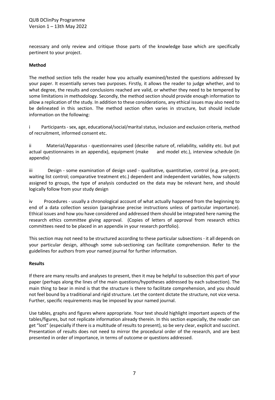necessary and only review and critique those parts of the knowledge base which are specifically pertinent to your project.

#### **Method**

The method section tells the reader how you actually examined/tested the questions addressed by your paper. It essentially serves two purposes. Firstly, it allows the reader to judge whether, and to what degree, the results and conclusions reached are valid, or whether they need to be tempered by some limitations in methodology. Secondly, the method section should provide enough information to allow a replication of the study. In addition to these considerations, any ethical issues may also need to be delineated in this section. The method section often varies in structure, but should include information on the following:

i Participants - sex, age, educational/social/marital status, inclusion and exclusion criteria, method of recruitment, informed consent etc.

ii Material/Apparatus - questionnaires used (describe nature of, reliability, validity etc. but put actual questionnaires in an appendix), equipment (make and model etc.), interview schedule (in appendix)

iii Design - some examination of design used - qualitative, quantitative, control (e.g. pre-post; waiting list control; comparative treatment etc.) dependent and independent variables, how subjects assigned to groups, the type of analysis conducted on the data may be relevant here, and should logically follow from your study design

iv Procedures - usually a chronological account of what actually happened from the beginning to end of a data collection session (paraphrase precise instructions unless of particular importance). Ethical issues and how you have considered and addressed them should be integrated here naming the research ethics committee giving approval. (Copies of letters of approval from research ethics committees need to be placed in an appendix in your research portfolio).

This section may not need to be structured according to these particular subsections - it all depends on your particular design, although some sub-sectioning can facilitate comprehension. Refer to the guidelines for authors from your named journal for further information.

#### **Results**

If there are many results and analyses to present, then it may be helpful to subsection this part of your paper (perhaps along the lines of the main questions/hypotheses addressed by each subsection). The main thing to bear in mind is that the structure is there to facilitate comprehension, and you should not feel bound by a traditional and rigid structure. Let the content dictate the structure, not vice versa. Further, specific requirements may be imposed by your named journal.

Use tables, graphs and figures where appropriate. Your text should highlight important aspects of the tables/figures, but not replicate information already therein. In this section especially, the reader can get "lost" (especially if there is a multitude of results to present), so be very clear, explicit and succinct. Presentation of results does not need to mirror the procedural order of the research, and are best presented in order of importance, in terms of outcome or questions addressed.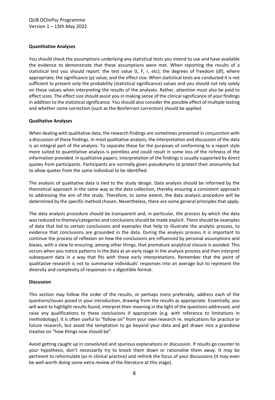#### **Quantitative Analyses**

You should check the assumptions underlying any statistical tests you intend to use and have available the evidence to demonstrate that these assumptions were met. When reporting the results of a statistical test you should report: the test value (t, F, r, etc); the degrees of freedom (df), where appropriate; the significance (p) value; and the effect size. When statistical tests are conducted it is not sufficient to present only the probability (statistical significance) values and you should not rely solely on these values when interpreting the results of the analyses. Rather, attention must also be paid to effect sizes. The effect size should assist you in making sense of the clinical significance of your findings in addition to the statistical significance. You should also consider the possible effect of multiple testing and whether some correction (such as the Bonferroni correction) should be applied.

#### **Qualitative Analyses**

When dealing with qualitative data, the research findings are sometimes presented in conjunction with a discussion of these findings. In most qualitative analysis, the interpretation and discussion of the data is an integral part of the analysis. To separate these for the purposes of conforming to a report style more suited to quantitative analysis is pointless and could result in some loss of the richness of the information provided. In qualitative papers, interpretation of the findings is usually supported by direct quotes from participants. Participants are normally given pseudonyms to protect their anonymity but to allow quotes from the same individual to be identified.

The analysis of qualitative data is tied to the study design. Data analysis should be informed by the theoretical approach in the same way as the data collection, thereby ensuring a consistent approach to addressing the aim of the study. Therefore, to some extent, the data analysis procedure will be determined by the specific method chosen. Nevertheless, there are some general principles that apply.

The data analysis procedure should be transparent and, in particular, the process by which the data was reduced to themes/categories and conclusions should be made explicit. There should be examples of data that led to certain conclusions and examples that help to illustrate the analytic process, to evidence that conclusions are grounded in the data. During the analysis process it is important to continue the process of reflexion on how the conclusions are influenced by personal assumptions and biases, with a view to ensuring, among other things, that premature analytical closure is avoided. This occurs when you notice patterns in the data at an early stage in the analysis process and then interpret subsequent data in a way that fits with these early interpretations. Remember that the point of qualitative research is not to summarise individuals' responses into an average but to represent the diversity and complexity of responses in a digestible format.

#### **Discussion**

This section may follow the order of the results, or perhaps more preferably, address each of the questions/issues posed in your introduction, drawing from the results as appropriate. Essentially, you will want to highlight results found, interpret their meaning in the light of the questions addressed, and raise any qualifications to these conclusions if appropriate (e.g. with reference to limitations in methodology). It is often useful to "follow on" from your own research re. implications for practice or future research, but avoid the temptation to go beyond your data and get drawn into a grandiose treatise on "how things now should be".

Avoid getting caught up in convoluted and spurious explanations or discussion. If results go counter to your hypothesis, don't necessarily try to knock them down or rationalise them away. It may be pertinent to reformulate (as in clinical practice) and rethink the focus of your discussions (it may even be well worth doing some extra review of the literature at this stage).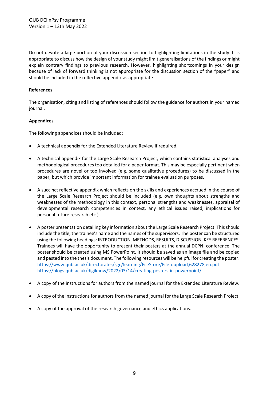Do not devote a large portion of your discussion section to highlighting limitations in the study. It is appropriate to discuss how the design of your study might limit generalisations of the findings or might explain contrary findings to previous research. However, highlighting shortcomings in your design because of lack of forward thinking is not appropriate for the discussion section of the "paper" and should be included in the reflective appendix as appropriate.

#### **References**

The organisation, citing and listing of references should follow the guidance for authors in your named journal.

#### **Appendices**

The following appendices should be included:

- A technical appendix for the Extended Literature Review if required.
- A technical appendix for the Large Scale Research Project, which contains statistical analyses and methodological procedures too detailed for a paper format. This may be especially pertinent when procedures are novel or too involved (e.g. some qualitative procedures) to be discussed in the paper, but which provide important information for trainee evaluation purposes.
- A succinct reflective appendix which reflects on the skills and experiences accrued in the course of the Large Scale Research Project should be included (e.g. own thoughts about strengths and weaknesses of the methodology in this context, personal strengths and weaknesses, appraisal of developmental research competencies in context, any ethical issues raised, implications for personal future research etc.).
- A poster presentation detailing key information about the Large Scale Research Project. This should include the title, the trainee's name and the names of the supervisors. The poster can be structured using the following headings: INTRODUCTION, METHODS, RESULTS, DISCUSSION, KEY REFERENCES. Trainees will have the opportunity to present their posters at the annual DCPNI conference. The poster should be created using MS PowerPoint. It should be saved as an image file and be copied and pasted into the thesis document. The following resources will be helpful for creating the poster: https://www.qub.ac.uk/directorates/sgc/learning/FileStore/Filetoupload,628278,en.pdf https://blogs.qub.ac.uk/digiknow/2022/03/14/creating-posters-in-powerpoint/
- A copy of the instructions for authors from the named journal for the Extended Literature Review.
- A copy of the instructions for authors from the named journal for the Large Scale Research Project.
- A copy of the approval of the research governance and ethics applications.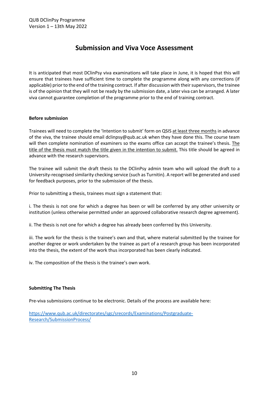## **Submission and Viva Voce Assessment**

It is anticipated that most DClinPsy viva examinations will take place in June, it is hoped that this will ensure that trainees have sufficient time to complete the programme along with any corrections (if applicable) prior to the end of the training contract. If after discussion with their supervisors, the trainee is of the opinion that they will not be ready by the submission date, a later viva can be arranged. A later viva cannot guarantee completion of the programme prior to the end of training contract.

#### **Before submission**

Trainees will need to complete the 'Intention to submit' form on QSIS at least three months in advance of the viva, the trainee should email dclinpsy@qub.ac.uk when they have done this. The course team will then complete nomination of examiners so the exams office can accept the trainee's thesis. The title of the thesis must match the title given in the intention to submit. This title should be agreed in advance with the research supervisors.

The trainee will submit the draft thesis to the DClinPsy admin team who will upload the draft to a University-recognised similarity checking service (such as Turnitin). A report will be generated and used for feedback purposes, prior to the submission of the thesis.

Prior to submitting a thesis, trainees must sign a statement that:

i. The thesis is not one for which a degree has been or will be conferred by any other university or institution (unless otherwise permitted under an approved collaborative research degree agreement).

ii. The thesis is not one for which a degree has already been conferred by this University.

iii. The work for the thesis is the trainee's own and that, where material submitted by the trainee for another degree or work undertaken by the trainee as part of a research group has been incorporated into the thesis, the extent of the work thus incorporated has been clearly indicated.

iv. The composition of the thesis is the trainee's own work.

#### **Submitting The Thesis**

Pre-viva submissions continue to be electronic. Details of the process are available here:

https://www.qub.ac.uk/directorates/sgc/srecords/Examinations/Postgraduate-Research/SubmissionProcess/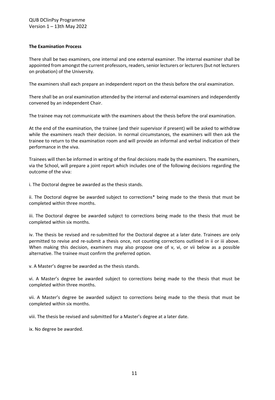#### **The Examination Process**

There shall be two examiners, one internal and one external examiner. The internal examiner shall be appointed from amongst the current professors, readers, senior lecturers or lecturers (but not lecturers on probation) of the University.

The examiners shall each prepare an independent report on the thesis before the oral examination.

There shall be an oral examination attended by the internal and external examiners and independently convened by an independent Chair.

The trainee may not communicate with the examiners about the thesis before the oral examination.

At the end of the examination, the trainee (and their supervisor if present) will be asked to withdraw while the examiners reach their decision. In normal circumstances, the examiners will then ask the trainee to return to the examination room and will provide an informal and verbal indication of their performance in the viva.

Trainees will then be informed in writing of the final decisions made by the examiners. The examiners, via the School, will prepare a joint report which includes one of the following decisions regarding the outcome of the viva:

i. The Doctoral degree be awarded as the thesis stands.

ii. The Doctoral degree be awarded subject to corrections\* being made to the thesis that must be completed within three months.

iii. The Doctoral degree be awarded subject to corrections being made to the thesis that must be completed within six months.

iv. The thesis be revised and re-submitted for the Doctoral degree at a later date. Trainees are only permitted to revise and re-submit a thesis once, not counting corrections outlined in ii or iii above. When making this decision, examiners may also propose one of v, vi, or vii below as a possible alternative. The trainee must confirm the preferred option.

v. A Master's degree be awarded as the thesis stands.

vi. A Master's degree be awarded subject to corrections being made to the thesis that must be completed within three months.

vii. A Master's degree be awarded subject to corrections being made to the thesis that must be completed within six months.

viii. The thesis be revised and submitted for a Master's degree at a later date.

ix. No degree be awarded.